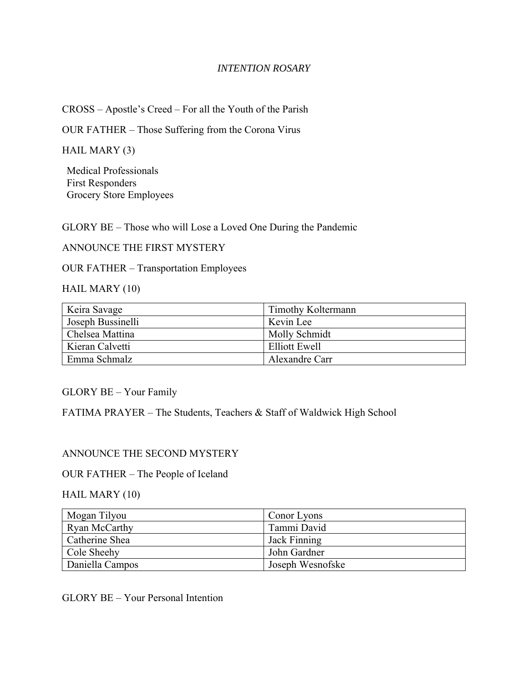### *INTENTION ROSARY*

CROSS – Apostle's Creed – For all the Youth of the Parish

OUR FATHER – Those Suffering from the Corona Virus

HAIL MARY (3)

Medical Professionals First Responders Grocery Store Employees

GLORY BE – Those who will Lose a Loved One During the Pandemic

ANNOUNCE THE FIRST MYSTERY

OUR FATHER – Transportation Employees

HAIL MARY (10)

| Keira Savage      | Timothy Koltermann   |
|-------------------|----------------------|
| Joseph Bussinelli | Kevin Lee            |
| Chelsea Mattina   | Molly Schmidt        |
| Kieran Calvetti   | <b>Elliott Ewell</b> |
| Emma Schmalz      | Alexandre Carr       |

GLORY BE – Your Family

FATIMA PRAYER – The Students, Teachers & Staff of Waldwick High School

#### ANNOUNCE THE SECOND MYSTERY

#### OUR FATHER – The People of Iceland

#### HAIL MARY (10)

| Mogan Tilyou    | Conor Lyons      |
|-----------------|------------------|
| Ryan McCarthy   | Tammi David      |
| Catherine Shea  | Jack Finning     |
| Cole Sheehy     | John Gardner     |
| Daniella Campos | Joseph Wesnofske |

GLORY BE – Your Personal Intention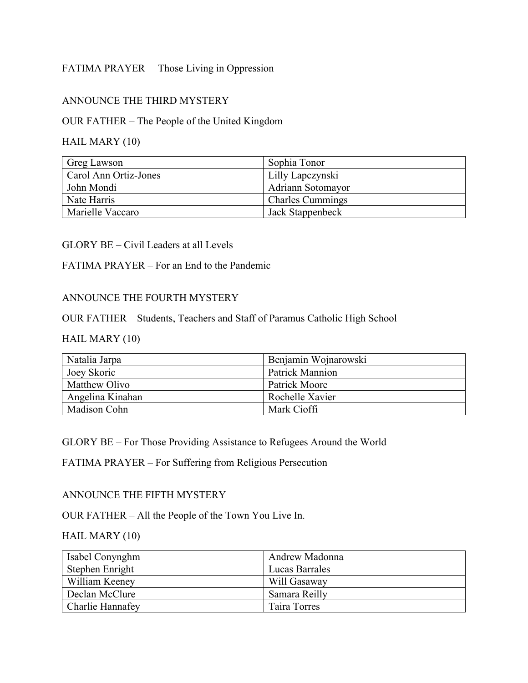# FATIMA PRAYER – Those Living in Oppression

## ANNOUNCE THE THIRD MYSTERY

### OUR FATHER – The People of the United Kingdom

## HAIL MARY (10)

| Greg Lawson           | Sophia Tonor            |
|-----------------------|-------------------------|
| Carol Ann Ortiz-Jones | Lilly Lapczynski        |
| John Mondi            | Adriann Sotomayor       |
| Nate Harris           | <b>Charles Cummings</b> |
| Marielle Vaccaro      | Jack Stappenbeck        |

#### GLORY BE – Civil Leaders at all Levels

## FATIMA PRAYER – For an End to the Pandemic

## ANNOUNCE THE FOURTH MYSTERY

## OUR FATHER – Students, Teachers and Staff of Paramus Catholic High School

## HAIL MARY (10)

| Natalia Jarpa    | Benjamin Wojnarowski   |
|------------------|------------------------|
| Joey Skoric      | <b>Patrick Mannion</b> |
| Matthew Olivo    | Patrick Moore          |
| Angelina Kinahan | Rochelle Xavier        |
| Madison Cohn     | Mark Cioffi            |

GLORY BE – For Those Providing Assistance to Refugees Around the World

FATIMA PRAYER – For Suffering from Religious Persecution

#### ANNOUNCE THE FIFTH MYSTERY

OUR FATHER – All the People of the Town You Live In.

## HAIL MARY (10)

| Isabel Conynghm  | Andrew Madonna |
|------------------|----------------|
| Stephen Enright  | Lucas Barrales |
| William Keeney   | Will Gasaway   |
| Declan McClure   | Samara Reilly  |
| Charlie Hannafey | Taira Torres   |